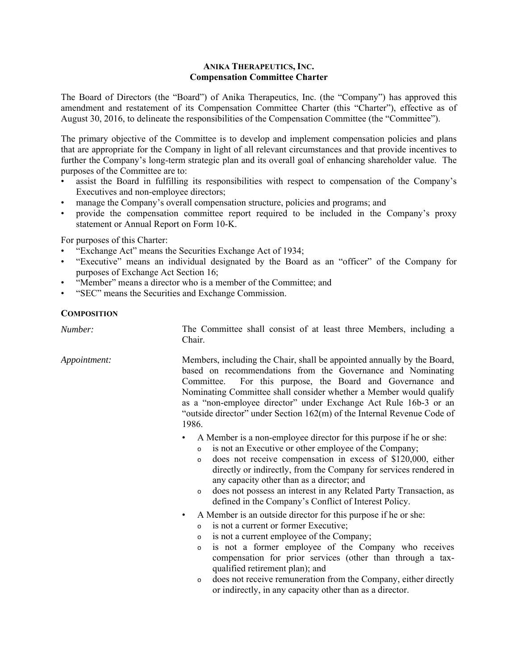## **ANIKA THERAPEUTICS, INC. Compensation Committee Charter**

The Board of Directors (the "Board") of Anika Therapeutics, Inc. (the "Company") has approved this amendment and restatement of its Compensation Committee Charter (this "Charter"), effective as of August 30, 2016, to delineate the responsibilities of the Compensation Committee (the "Committee").

The primary objective of the Committee is to develop and implement compensation policies and plans that are appropriate for the Company in light of all relevant circumstances and that provide incentives to further the Company's long-term strategic plan and its overall goal of enhancing shareholder value. The purposes of the Committee are to:

- assist the Board in fulfilling its responsibilities with respect to compensation of the Company's Executives and non-employee directors;
- manage the Company's overall compensation structure, policies and programs; and
- provide the compensation committee report required to be included in the Company's proxy statement or Annual Report on Form 10-K.

For purposes of this Charter:

- "Exchange Act" means the Securities Exchange Act of 1934;
- "Executive" means an individual designated by the Board as an "officer" of the Company for purposes of Exchange Act Section 16;
- "Member" means a director who is a member of the Committee; and
- "SEC" means the Securities and Exchange Commission.

## **COMPOSITION**

| Number:      | The Committee shall consist of at least three Members, including a<br>Chair.                                                                                                                                                                                                                                                                                                                                                                                                                  |
|--------------|-----------------------------------------------------------------------------------------------------------------------------------------------------------------------------------------------------------------------------------------------------------------------------------------------------------------------------------------------------------------------------------------------------------------------------------------------------------------------------------------------|
| Appointment: | Members, including the Chair, shall be appointed annually by the Board,<br>based on recommendations from the Governance and Nominating<br>For this purpose, the Board and Governance and<br>Committee.<br>Nominating Committee shall consider whether a Member would qualify<br>as a "non-employee director" under Exchange Act Rule 16b-3 or an<br>"outside director" under Section 162(m) of the Internal Revenue Code of<br>1986.                                                          |
|              | A Member is a non-employee director for this purpose if he or she:<br>is not an Executive or other employee of the Company;<br>$\circ$<br>does not receive compensation in excess of \$120,000, either<br>$\circ$<br>directly or indirectly, from the Company for services rendered in<br>any capacity other than as a director; and<br>does not possess an interest in any Related Party Transaction, as<br>$\circ$<br>defined in the Company's Conflict of Interest Policy.                 |
|              | A Member is an outside director for this purpose if he or she:<br>٠<br>is not a current or former Executive;<br>$\circ$<br>is not a current employee of the Company;<br>$\circ$<br>is not a former employee of the Company who receives<br>$\circ$<br>compensation for prior services (other than through a tax-<br>qualified retirement plan); and<br>does not receive remuneration from the Company, either directly<br>$\circ$<br>or indirectly, in any capacity other than as a director. |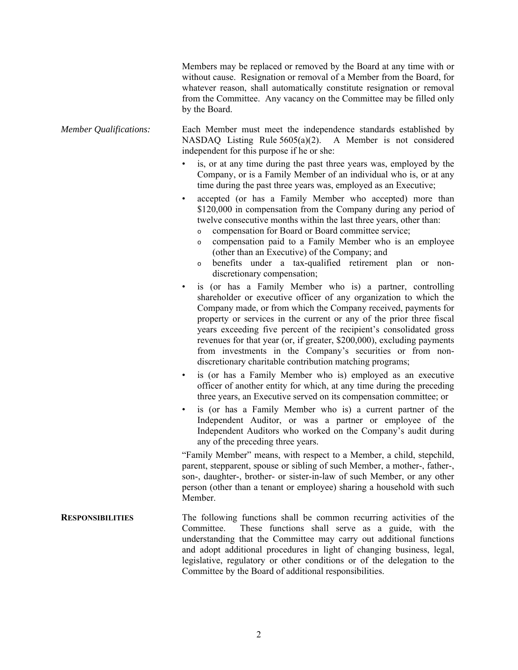Members may be replaced or removed by the Board at any time with or without cause. Resignation or removal of a Member from the Board, for whatever reason, shall automatically constitute resignation or removal from the Committee. Any vacancy on the Committee may be filled only by the Board.

- *Member Qualifications:* Each Member must meet the independence standards established by NASDAQ Listing Rule 5605(a)(2). A Member is not considered independent for this purpose if he or she:
	- is, or at any time during the past three years was, employed by the Company, or is a Family Member of an individual who is, or at any time during the past three years was, employed as an Executive;
	- accepted (or has a Family Member who accepted) more than \$120,000 in compensation from the Company during any period of twelve consecutive months within the last three years, other than:
		- o compensation for Board or Board committee service;
		- o compensation paid to a Family Member who is an employee (other than an Executive) of the Company; and
		- o benefits under a tax-qualified retirement plan or nondiscretionary compensation;
	- is (or has a Family Member who is) a partner, controlling shareholder or executive officer of any organization to which the Company made, or from which the Company received, payments for property or services in the current or any of the prior three fiscal years exceeding five percent of the recipient's consolidated gross revenues for that year (or, if greater, \$200,000), excluding payments from investments in the Company's securities or from nondiscretionary charitable contribution matching programs;
	- is (or has a Family Member who is) employed as an executive officer of another entity for which, at any time during the preceding three years, an Executive served on its compensation committee; or
	- is (or has a Family Member who is) a current partner of the Independent Auditor, or was a partner or employee of the Independent Auditors who worked on the Company's audit during any of the preceding three years.

"Family Member" means, with respect to a Member, a child, stepchild, parent, stepparent, spouse or sibling of such Member, a mother-, father-, son-, daughter-, brother- or sister-in-law of such Member, or any other person (other than a tenant or employee) sharing a household with such Member.

**RESPONSIBILITIES** The following functions shall be common recurring activities of the Committee. These functions shall serve as a guide, with the understanding that the Committee may carry out additional functions and adopt additional procedures in light of changing business, legal, legislative, regulatory or other conditions or of the delegation to the Committee by the Board of additional responsibilities.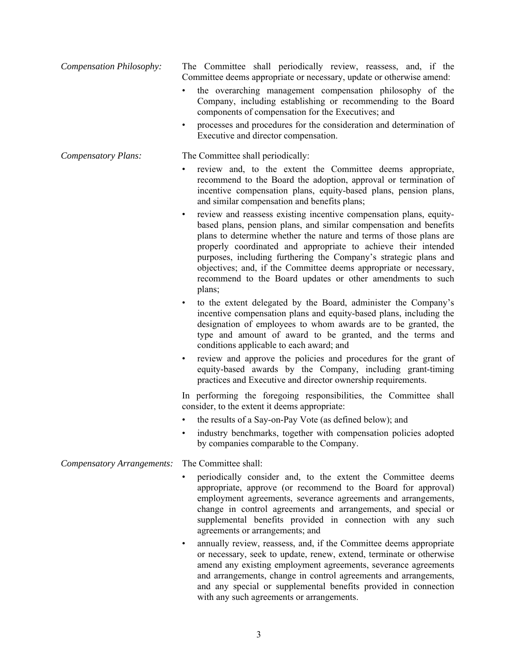| <b>Compensation Philosophy:</b> | The Committee shall periodically review, reassess, and, if the<br>Committee deems appropriate or necessary, update or otherwise amend:                                                                                                                                                                                                                                                                                                                                                                        |
|---------------------------------|---------------------------------------------------------------------------------------------------------------------------------------------------------------------------------------------------------------------------------------------------------------------------------------------------------------------------------------------------------------------------------------------------------------------------------------------------------------------------------------------------------------|
|                                 | the overarching management compensation philosophy of the<br>Company, including establishing or recommending to the Board<br>components of compensation for the Executives; and                                                                                                                                                                                                                                                                                                                               |
|                                 | processes and procedures for the consideration and determination of<br>$\bullet$<br>Executive and director compensation.                                                                                                                                                                                                                                                                                                                                                                                      |
| <b>Compensatory Plans:</b>      | The Committee shall periodically:                                                                                                                                                                                                                                                                                                                                                                                                                                                                             |
|                                 | review and, to the extent the Committee deems appropriate,<br>recommend to the Board the adoption, approval or termination of<br>incentive compensation plans, equity-based plans, pension plans,<br>and similar compensation and benefits plans;                                                                                                                                                                                                                                                             |
|                                 | review and reassess existing incentive compensation plans, equity-<br>$\bullet$<br>based plans, pension plans, and similar compensation and benefits<br>plans to determine whether the nature and terms of those plans are<br>properly coordinated and appropriate to achieve their intended<br>purposes, including furthering the Company's strategic plans and<br>objectives; and, if the Committee deems appropriate or necessary,<br>recommend to the Board updates or other amendments to such<br>plans; |
|                                 | to the extent delegated by the Board, administer the Company's<br>$\bullet$<br>incentive compensation plans and equity-based plans, including the<br>designation of employees to whom awards are to be granted, the<br>type and amount of award to be granted, and the terms and<br>conditions applicable to each award; and                                                                                                                                                                                  |
|                                 | review and approve the policies and procedures for the grant of<br>$\bullet$<br>equity-based awards by the Company, including grant-timing<br>practices and Executive and director ownership requirements.                                                                                                                                                                                                                                                                                                    |
|                                 | In performing the foregoing responsibilities, the Committee shall<br>consider, to the extent it deems appropriate:                                                                                                                                                                                                                                                                                                                                                                                            |
|                                 | the results of a Say-on-Pay Vote (as defined below); and                                                                                                                                                                                                                                                                                                                                                                                                                                                      |
|                                 | industry benchmarks, together with compensation policies adopted<br>by companies comparable to the Company.                                                                                                                                                                                                                                                                                                                                                                                                   |
| Compensatory Arrangements:      | The Committee shall:                                                                                                                                                                                                                                                                                                                                                                                                                                                                                          |
|                                 | periodically consider and, to the extent the Committee deems<br>appropriate, approve (or recommend to the Board for approval)<br>employment agreements, severance agreements and arrangements,<br>change in control agreements and arrangements, and special or<br>supplemental benefits provided in connection with any such<br>agreements or arrangements; and                                                                                                                                              |
|                                 | annually review, reassess, and, if the Committee deems appropriate<br>٠<br>or necessary, seek to update, renew, extend, terminate or otherwise<br>amend any existing employment agreements, severance agreements                                                                                                                                                                                                                                                                                              |

and arrangements, change in control agreements and arrangements, and any special or supplemental benefits provided in connection with any such agreements or arrangements.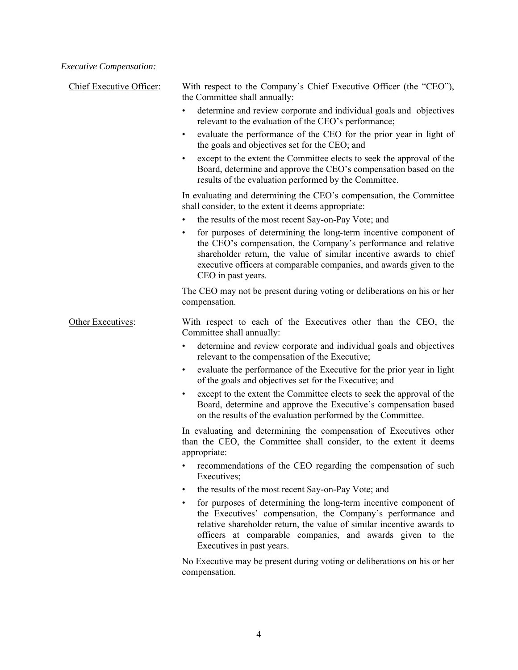*Executive Compensation:* 

| Chief Executive Officer: | With respect to the Company's Chief Executive Officer (the "CEO"),<br>the Committee shall annually:                                                                                                                                                                                                             |
|--------------------------|-----------------------------------------------------------------------------------------------------------------------------------------------------------------------------------------------------------------------------------------------------------------------------------------------------------------|
|                          | determine and review corporate and individual goals and objectives<br>relevant to the evaluation of the CEO's performance;                                                                                                                                                                                      |
|                          | evaluate the performance of the CEO for the prior year in light of<br>$\bullet$<br>the goals and objectives set for the CEO; and                                                                                                                                                                                |
|                          | except to the extent the Committee elects to seek the approval of the<br>Board, determine and approve the CEO's compensation based on the<br>results of the evaluation performed by the Committee.                                                                                                              |
|                          | In evaluating and determining the CEO's compensation, the Committee<br>shall consider, to the extent it deems appropriate:<br>the results of the most recent Say-on-Pay Vote; and                                                                                                                               |
|                          | for purposes of determining the long-term incentive component of<br>the CEO's compensation, the Company's performance and relative<br>shareholder return, the value of similar incentive awards to chief<br>executive officers at comparable companies, and awards given to the<br>CEO in past years.           |
|                          | The CEO may not be present during voting or deliberations on his or her<br>compensation.                                                                                                                                                                                                                        |
| Other Executives:        | With respect to each of the Executives other than the CEO, the<br>Committee shall annually:                                                                                                                                                                                                                     |
|                          | determine and review corporate and individual goals and objectives<br>٠<br>relevant to the compensation of the Executive;                                                                                                                                                                                       |
|                          | evaluate the performance of the Executive for the prior year in light<br>$\bullet$<br>of the goals and objectives set for the Executive; and                                                                                                                                                                    |
|                          | except to the extent the Committee elects to seek the approval of the<br>$\bullet$<br>Board, determine and approve the Executive's compensation based<br>on the results of the evaluation performed by the Committee.                                                                                           |
|                          | In evaluating and determining the compensation of Executives other<br>than the CEO, the Committee shall consider, to the extent it deems<br>appropriate:                                                                                                                                                        |
|                          | recommendations of the CEO regarding the compensation of such<br>٠<br>Executives;                                                                                                                                                                                                                               |
|                          | the results of the most recent Say-on-Pay Vote; and<br>٠                                                                                                                                                                                                                                                        |
|                          | for purposes of determining the long-term incentive component of<br>$\bullet$<br>the Executives' compensation, the Company's performance and<br>relative shareholder return, the value of similar incentive awards to<br>officers at comparable companies, and awards given to the<br>Executives in past years. |
|                          | No Executive may be present during voting or deliberations on his or her<br>compensation.                                                                                                                                                                                                                       |
|                          |                                                                                                                                                                                                                                                                                                                 |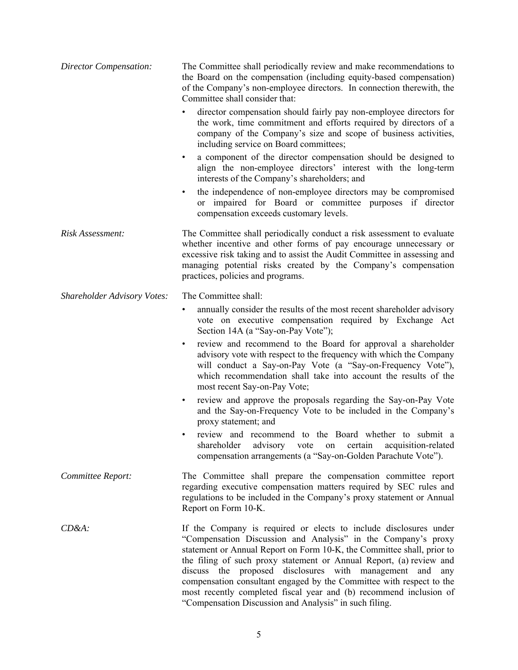| Director Compensation:             | The Committee shall periodically review and make recommendations to<br>the Board on the compensation (including equity-based compensation)<br>of the Company's non-employee directors. In connection therewith, the<br>Committee shall consider that:                                                                                                                                                                                                                                                                                                      |
|------------------------------------|------------------------------------------------------------------------------------------------------------------------------------------------------------------------------------------------------------------------------------------------------------------------------------------------------------------------------------------------------------------------------------------------------------------------------------------------------------------------------------------------------------------------------------------------------------|
|                                    | director compensation should fairly pay non-employee directors for<br>the work, time commitment and efforts required by directors of a<br>company of the Company's size and scope of business activities,<br>including service on Board committees;                                                                                                                                                                                                                                                                                                        |
|                                    | a component of the director compensation should be designed to<br>$\bullet$<br>align the non-employee directors' interest with the long-term<br>interests of the Company's shareholders; and                                                                                                                                                                                                                                                                                                                                                               |
|                                    | the independence of non-employee directors may be compromised<br>$\bullet$<br>or impaired for Board or committee purposes if director<br>compensation exceeds customary levels.                                                                                                                                                                                                                                                                                                                                                                            |
| Risk Assessment:                   | The Committee shall periodically conduct a risk assessment to evaluate<br>whether incentive and other forms of pay encourage unnecessary or<br>excessive risk taking and to assist the Audit Committee in assessing and<br>managing potential risks created by the Company's compensation<br>practices, policies and programs.                                                                                                                                                                                                                             |
| <b>Shareholder Advisory Votes:</b> | The Committee shall:                                                                                                                                                                                                                                                                                                                                                                                                                                                                                                                                       |
|                                    | annually consider the results of the most recent shareholder advisory<br>$\bullet$<br>vote on executive compensation required by Exchange Act<br>Section 14A (a "Say-on-Pay Vote");                                                                                                                                                                                                                                                                                                                                                                        |
|                                    | review and recommend to the Board for approval a shareholder<br>$\bullet$<br>advisory vote with respect to the frequency with which the Company<br>will conduct a Say-on-Pay Vote (a "Say-on-Frequency Vote"),<br>which recommendation shall take into account the results of the<br>most recent Say-on-Pay Vote;                                                                                                                                                                                                                                          |
|                                    | review and approve the proposals regarding the Say-on-Pay Vote<br>$\bullet$<br>and the Say-on-Frequency Vote to be included in the Company's<br>proxy statement; and                                                                                                                                                                                                                                                                                                                                                                                       |
|                                    | review and recommend to the Board whether to submit a<br>$\bullet$<br>shareholder<br>advisory vote on<br>acquisition-related<br>certain<br>compensation arrangements (a "Say-on-Golden Parachute Vote").                                                                                                                                                                                                                                                                                                                                                   |
| Committee Report:                  | The Committee shall prepare the compensation committee report<br>regarding executive compensation matters required by SEC rules and<br>regulations to be included in the Company's proxy statement or Annual<br>Report on Form 10-K.                                                                                                                                                                                                                                                                                                                       |
| $CD&A$ :                           | If the Company is required or elects to include disclosures under<br>"Compensation Discussion and Analysis" in the Company's proxy<br>statement or Annual Report on Form 10-K, the Committee shall, prior to<br>the filing of such proxy statement or Annual Report, (a) review and<br>discuss the proposed disclosures with management and<br>any<br>compensation consultant engaged by the Committee with respect to the<br>most recently completed fiscal year and (b) recommend inclusion of<br>"Compensation Discussion and Analysis" in such filing. |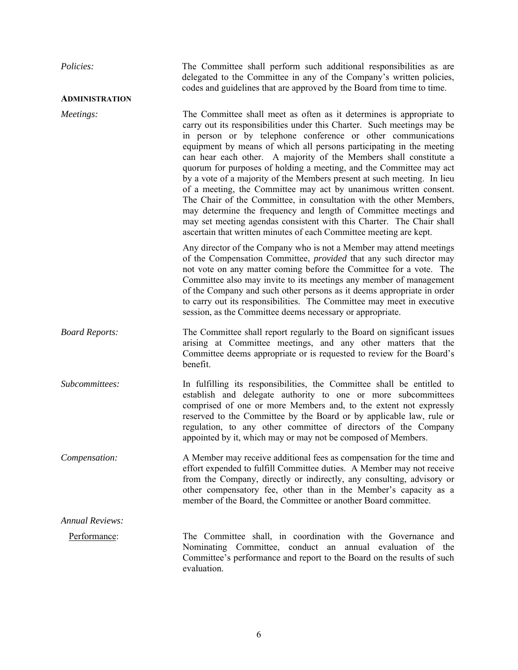| Policies:              | The Committee shall perform such additional responsibilities as are<br>delegated to the Committee in any of the Company's written policies,<br>codes and guidelines that are approved by the Board from time to time.                                                                                                                                                                                                                                                                                                                                                                                                                                                                                                                                                                                                                                                         |
|------------------------|-------------------------------------------------------------------------------------------------------------------------------------------------------------------------------------------------------------------------------------------------------------------------------------------------------------------------------------------------------------------------------------------------------------------------------------------------------------------------------------------------------------------------------------------------------------------------------------------------------------------------------------------------------------------------------------------------------------------------------------------------------------------------------------------------------------------------------------------------------------------------------|
| <b>ADMINISTRATION</b>  |                                                                                                                                                                                                                                                                                                                                                                                                                                                                                                                                                                                                                                                                                                                                                                                                                                                                               |
| Meetings:              | The Committee shall meet as often as it determines is appropriate to<br>carry out its responsibilities under this Charter. Such meetings may be<br>in person or by telephone conference or other communications<br>equipment by means of which all persons participating in the meeting<br>can hear each other. A majority of the Members shall constitute a<br>quorum for purposes of holding a meeting, and the Committee may act<br>by a vote of a majority of the Members present at such meeting. In lieu<br>of a meeting, the Committee may act by unanimous written consent.<br>The Chair of the Committee, in consultation with the other Members,<br>may determine the frequency and length of Committee meetings and<br>may set meeting agendas consistent with this Charter. The Chair shall<br>ascertain that written minutes of each Committee meeting are kept. |
|                        | Any director of the Company who is not a Member may attend meetings<br>of the Compensation Committee, <i>provided</i> that any such director may<br>not vote on any matter coming before the Committee for a vote. The<br>Committee also may invite to its meetings any member of management<br>of the Company and such other persons as it deems appropriate in order<br>to carry out its responsibilities. The Committee may meet in executive<br>session, as the Committee deems necessary or appropriate.                                                                                                                                                                                                                                                                                                                                                                 |
| <b>Board Reports:</b>  | The Committee shall report regularly to the Board on significant issues<br>arising at Committee meetings, and any other matters that the<br>Committee deems appropriate or is requested to review for the Board's<br>benefit.                                                                                                                                                                                                                                                                                                                                                                                                                                                                                                                                                                                                                                                 |
| Subcommittees:         | In fulfilling its responsibilities, the Committee shall be entitled to<br>establish and delegate authority to one or more subcommittees<br>comprised of one or more Members and, to the extent not expressly<br>reserved to the Committee by the Board or by applicable law, rule or<br>regulation, to any other committee of directors of the Company<br>appointed by it, which may or may not be composed of Members.                                                                                                                                                                                                                                                                                                                                                                                                                                                       |
| Compensation:          | A Member may receive additional fees as compensation for the time and<br>effort expended to fulfill Committee duties. A Member may not receive<br>from the Company, directly or indirectly, any consulting, advisory or<br>other compensatory fee, other than in the Member's capacity as a<br>member of the Board, the Committee or another Board committee.                                                                                                                                                                                                                                                                                                                                                                                                                                                                                                                 |
| <b>Annual Reviews:</b> |                                                                                                                                                                                                                                                                                                                                                                                                                                                                                                                                                                                                                                                                                                                                                                                                                                                                               |
| Performance:           | The Committee shall, in coordination with the Governance and<br>Nominating Committee, conduct an annual evaluation of the<br>Committee's performance and report to the Board on the results of such<br>evaluation.                                                                                                                                                                                                                                                                                                                                                                                                                                                                                                                                                                                                                                                            |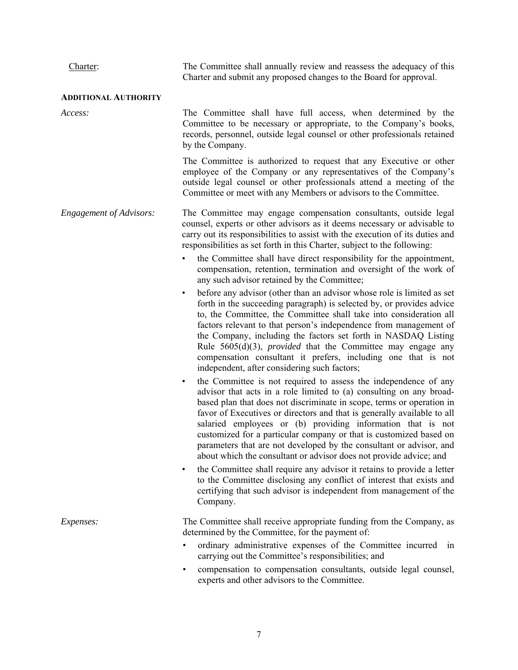| Charter:                       | The Committee shall annually review and reassess the adequacy of this<br>Charter and submit any proposed changes to the Board for approval.                                                                                                                                                                                                                                                                                                                                                                                                                                               |
|--------------------------------|-------------------------------------------------------------------------------------------------------------------------------------------------------------------------------------------------------------------------------------------------------------------------------------------------------------------------------------------------------------------------------------------------------------------------------------------------------------------------------------------------------------------------------------------------------------------------------------------|
| <b>ADDITIONAL AUTHORITY</b>    |                                                                                                                                                                                                                                                                                                                                                                                                                                                                                                                                                                                           |
| Access:                        | The Committee shall have full access, when determined by the<br>Committee to be necessary or appropriate, to the Company's books,<br>records, personnel, outside legal counsel or other professionals retained<br>by the Company.                                                                                                                                                                                                                                                                                                                                                         |
|                                | The Committee is authorized to request that any Executive or other<br>employee of the Company or any representatives of the Company's<br>outside legal counsel or other professionals attend a meeting of the<br>Committee or meet with any Members or advisors to the Committee.                                                                                                                                                                                                                                                                                                         |
| <b>Engagement of Advisors:</b> | The Committee may engage compensation consultants, outside legal<br>counsel, experts or other advisors as it deems necessary or advisable to<br>carry out its responsibilities to assist with the execution of its duties and<br>responsibilities as set forth in this Charter, subject to the following:                                                                                                                                                                                                                                                                                 |
|                                | the Committee shall have direct responsibility for the appointment,<br>compensation, retention, termination and oversight of the work of<br>any such advisor retained by the Committee;                                                                                                                                                                                                                                                                                                                                                                                                   |
|                                | before any advisor (other than an advisor whose role is limited as set<br>$\bullet$<br>forth in the succeeding paragraph) is selected by, or provides advice<br>to, the Committee, the Committee shall take into consideration all<br>factors relevant to that person's independence from management of<br>the Company, including the factors set forth in NASDAQ Listing<br>Rule $5605(d)(3)$ , <i>provided</i> that the Committee may engage any<br>compensation consultant it prefers, including one that is not<br>independent, after considering such factors;                       |
|                                | the Committee is not required to assess the independence of any<br>$\bullet$<br>advisor that acts in a role limited to (a) consulting on any broad-<br>based plan that does not discriminate in scope, terms or operation in<br>favor of Executives or directors and that is generally available to all<br>salaried employees or (b) providing information that is not<br>customized for a particular company or that is customized based on<br>parameters that are not developed by the consultant or advisor, and<br>about which the consultant or advisor does not provide advice; and |
|                                | the Committee shall require any advisor it retains to provide a letter<br>$\bullet$<br>to the Committee disclosing any conflict of interest that exists and<br>certifying that such advisor is independent from management of the<br>Company.                                                                                                                                                                                                                                                                                                                                             |
| Expenses:                      | The Committee shall receive appropriate funding from the Company, as<br>determined by the Committee, for the payment of:                                                                                                                                                                                                                                                                                                                                                                                                                                                                  |
|                                | ordinary administrative expenses of the Committee incurred in<br>$\bullet$<br>carrying out the Committee's responsibilities; and                                                                                                                                                                                                                                                                                                                                                                                                                                                          |
|                                | compensation to compensation consultants, outside legal counsel,<br>$\bullet$<br>experts and other advisors to the Committee.                                                                                                                                                                                                                                                                                                                                                                                                                                                             |